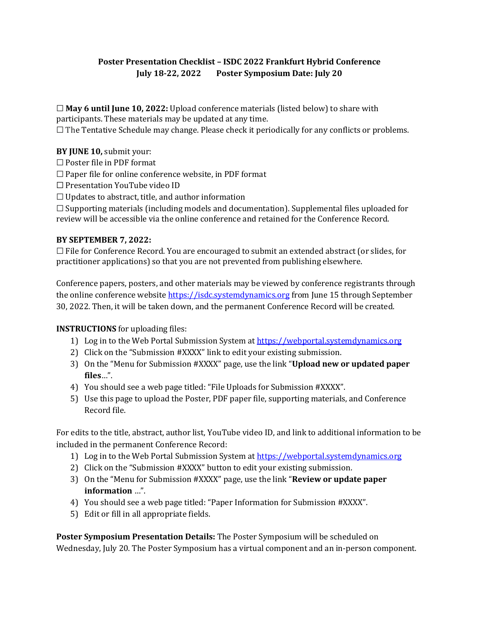# **Poster Presentation Checklist – ISDC 2022 Frankfurt Hybrid Conference July 18-22, 2022 Poster Symposium Date: July 20**

☐ **May 6 until June 10, 2022:** Upload conference materials (listed below) to share with participants. These materials may be updated at any time.

 $\Box$  The Tentative Schedule may change. Please check it periodically for any conflicts or problems.

### **BY JUNE 10,** submit your:

□ Poster file in PDF format

 $\Box$  Paper file for online conference website, in PDF format

☐ Presentation YouTube video ID

 $\Box$  Updates to abstract, title, and author information

 $\Box$  Supporting materials (including models and documentation). Supplemental files uploaded for review will be accessible via the online conference and retained for the Conference Record.

#### **BY SEPTEMBER 7, 2022:**

 $\Box$  File for Conference Record. You are encouraged to submit an extended abstract (or slides, for practitioner applications) so that you are not prevented from publishing elsewhere.

Conference papers, posters, and other materials may be viewed by conference registrants through the online conference website [https://isdc.systemdynamics.org](https://isdc.systemdynamics.org/) from June 15 through September 30, 2022. Then, it will be taken down, and the permanent Conference Record will be created.

#### **INSTRUCTIONS** for uploading files:

- 1) Log in to the Web Portal Submission System a[t https://webportal.systemdynamics.org](https://webportal.systemdynamics.org/)
- 2) Click on the "Submission #XXXX" link to edit your existing submission.
- 3) On the "Menu for Submission #XXXX" page, use the link "**Upload new or updated paper files**…".
- 4) You should see a web page titled: "File Uploads for Submission #XXXX".
- 5) Use this page to upload the Poster, PDF paper file, supporting materials, and Conference Record file.

For edits to the title, abstract, author list, YouTube video ID, and link to additional information to be included in the permanent Conference Record:

- 1) Log in to the Web Portal Submission System a[t https://webportal.systemdynamics.org](https://webportal.systemdynamics.org/)
- 2) Click on the "Submission #XXXX" button to edit your existing submission.
- 3) On the "Menu for Submission #XXXX" page, use the link "**Review or update paper information** …".
- 4) You should see a web page titled: "Paper Information for Submission #XXXX".
- 5) Edit or fill in all appropriate fields.

**Poster Symposium Presentation Details:** The Poster Symposium will be scheduled on Wednesday, July 20. The Poster Symposium has a virtual component and an in-person component.